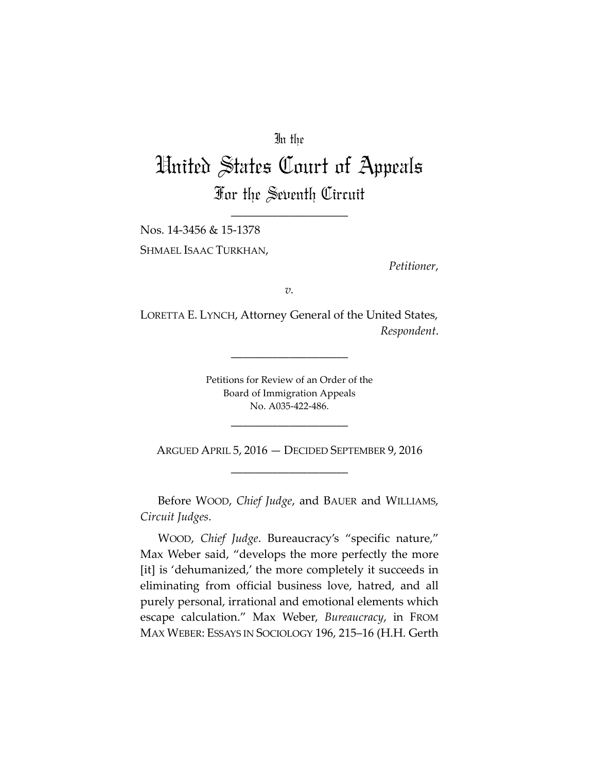## In the

# United States Court of Appeals For the Seventh Circuit

\_\_\_\_\_\_\_\_\_\_\_\_\_\_\_\_\_\_\_\_

Nos. 14-3456 & 15-1378 SHMAEL ISAAC TURKHAN,

*Petitioner*,

*v.*

LORETTA E. LYNCH, Attorney General of the United States, *Respondent*.

\_\_\_\_\_\_\_\_\_\_\_\_\_\_\_\_\_\_\_\_

Petitions for Review of an Order of the Board of Immigration Appeals No. A035-422-486.

ARGUED APRIL 5, 2016 — DECIDED SEPTEMBER 9, 2016 \_\_\_\_\_\_\_\_\_\_\_\_\_\_\_\_\_\_\_\_

\_\_\_\_\_\_\_\_\_\_\_\_\_\_\_\_\_\_\_\_

Before WOOD, *Chief Judge*, and BAUER and WILLIAMS, *Circuit Judges*.

WOOD, *Chief Judge*. Bureaucracy's "specific nature," Max Weber said, "develops the more perfectly the more [it] is 'dehumanized,' the more completely it succeeds in eliminating from official business love, hatred, and all purely personal, irrational and emotional elements which escape calculation." Max Weber, *Bureaucracy*, in FROM MAX WEBER: ESSAYS IN SOCIOLOGY 196, 215–16 (H.H. Gerth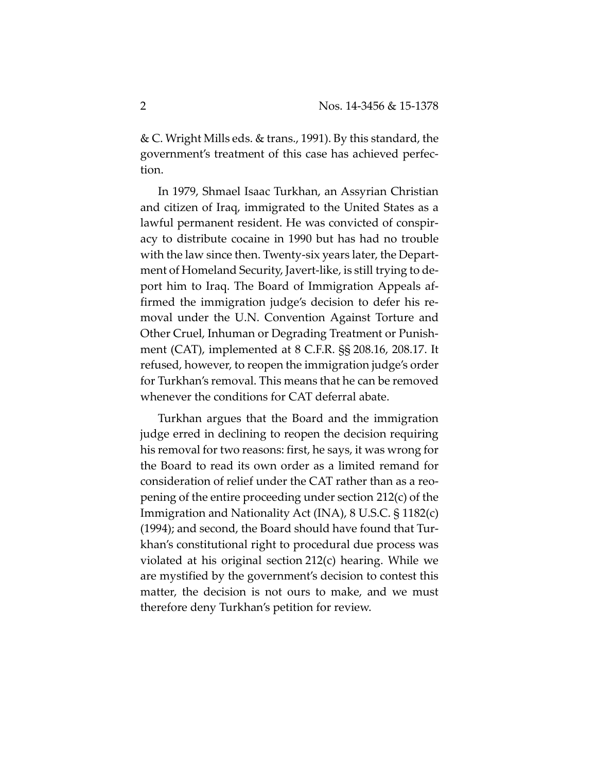& C. Wright Mills eds. & trans., 1991). By this standard, the government's treatment of this case has achieved perfection.

In 1979, Shmael Isaac Turkhan, an Assyrian Christian and citizen of Iraq, immigrated to the United States as a lawful permanent resident. He was convicted of conspiracy to distribute cocaine in 1990 but has had no trouble with the law since then. Twenty-six years later, the Department of Homeland Security, Javert-like, is still trying to deport him to Iraq. The Board of Immigration Appeals affirmed the immigration judge's decision to defer his removal under the U.N. Convention Against Torture and Other Cruel, Inhuman or Degrading Treatment or Punishment (CAT), implemented at 8 C.F.R. §§ 208.16, 208.17. It refused, however, to reopen the immigration judge's order for Turkhan's removal. This means that he can be removed whenever the conditions for CAT deferral abate.

Turkhan argues that the Board and the immigration judge erred in declining to reopen the decision requiring his removal for two reasons: first, he says, it was wrong for the Board to read its own order as a limited remand for consideration of relief under the CAT rather than as a reopening of the entire proceeding under section 212(c) of the Immigration and Nationality Act (INA), 8 U.S.C. § 1182(c) (1994); and second, the Board should have found that Turkhan's constitutional right to procedural due process was violated at his original section 212(c) hearing. While we are mystified by the government's decision to contest this matter, the decision is not ours to make, and we must therefore deny Turkhan's petition for review.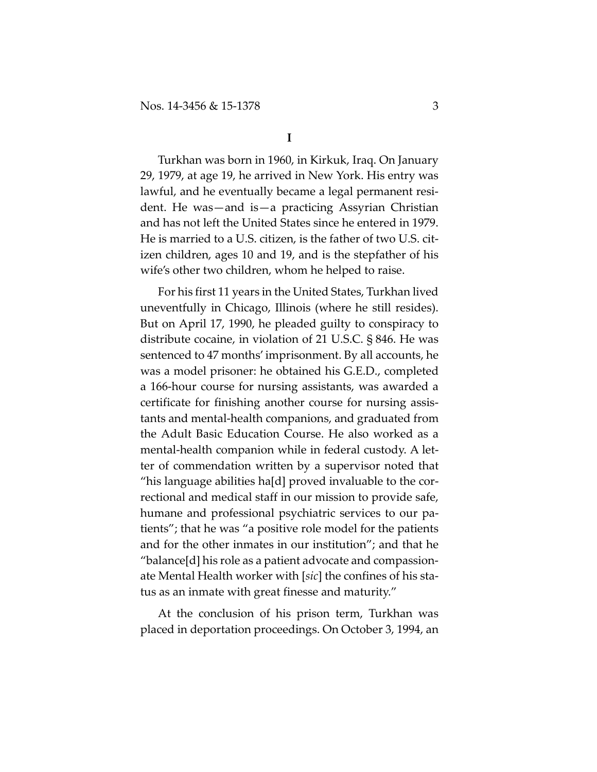Turkhan was born in 1960, in Kirkuk, Iraq. On January 29, 1979, at age 19, he arrived in New York. His entry was lawful, and he eventually became a legal permanent resident. He was—and is—a practicing Assyrian Christian and has not left the United States since he entered in 1979. He is married to a U.S. citizen, is the father of two U.S. citizen children, ages 10 and 19, and is the stepfather of his wife's other two children, whom he helped to raise.

For his first 11 years in the United States, Turkhan lived uneventfully in Chicago, Illinois (where he still resides). But on April 17, 1990, he pleaded guilty to conspiracy to distribute cocaine, in violation of 21 U.S.C. § 846. He was sentenced to 47 months' imprisonment. By all accounts, he was a model prisoner: he obtained his G.E.D., completed a 166-hour course for nursing assistants, was awarded a certificate for finishing another course for nursing assistants and mental-health companions, and graduated from the Adult Basic Education Course. He also worked as a mental-health companion while in federal custody. A letter of commendation written by a supervisor noted that "his language abilities ha[d] proved invaluable to the correctional and medical staff in our mission to provide safe, humane and professional psychiatric services to our patients"; that he was "a positive role model for the patients and for the other inmates in our institution"; and that he "balance[d] his role as a patient advocate and compassionate Mental Health worker with [*sic*] the confines of his status as an inmate with great finesse and maturity."

At the conclusion of his prison term, Turkhan was placed in deportation proceedings. On October 3, 1994, an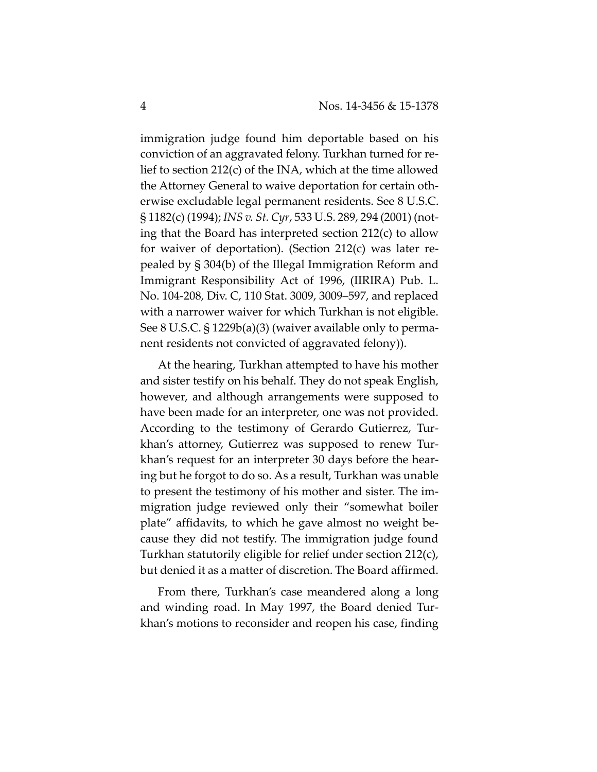immigration judge found him deportable based on his conviction of an aggravated felony. Turkhan turned for relief to section 212(c) of the INA, which at the time allowed the Attorney General to waive deportation for certain otherwise excludable legal permanent residents. See 8 U.S.C. § 1182(c) (1994); *INS v. St. Cyr*, 533 U.S. 289, 294 (2001) (noting that the Board has interpreted section 212(c) to allow for waiver of deportation). (Section 212(c) was later repealed by § 304(b) of the Illegal Immigration Reform and Immigrant Responsibility Act of 1996, (IIRIRA) Pub. L. No. 104-208, Div. C, 110 Stat. 3009, 3009–597, and replaced with a narrower waiver for which Turkhan is not eligible. See 8 U.S.C. § 1229b(a)(3) (waiver available only to permanent residents not convicted of aggravated felony)).

At the hearing, Turkhan attempted to have his mother and sister testify on his behalf. They do not speak English, however, and although arrangements were supposed to have been made for an interpreter, one was not provided. According to the testimony of Gerardo Gutierrez, Turkhan's attorney, Gutierrez was supposed to renew Turkhan's request for an interpreter 30 days before the hearing but he forgot to do so. As a result, Turkhan was unable to present the testimony of his mother and sister. The immigration judge reviewed only their "somewhat boiler plate" affidavits, to which he gave almost no weight because they did not testify. The immigration judge found Turkhan statutorily eligible for relief under section 212(c), but denied it as a matter of discretion. The Board affirmed.

From there, Turkhan's case meandered along a long and winding road. In May 1997, the Board denied Turkhan's motions to reconsider and reopen his case, finding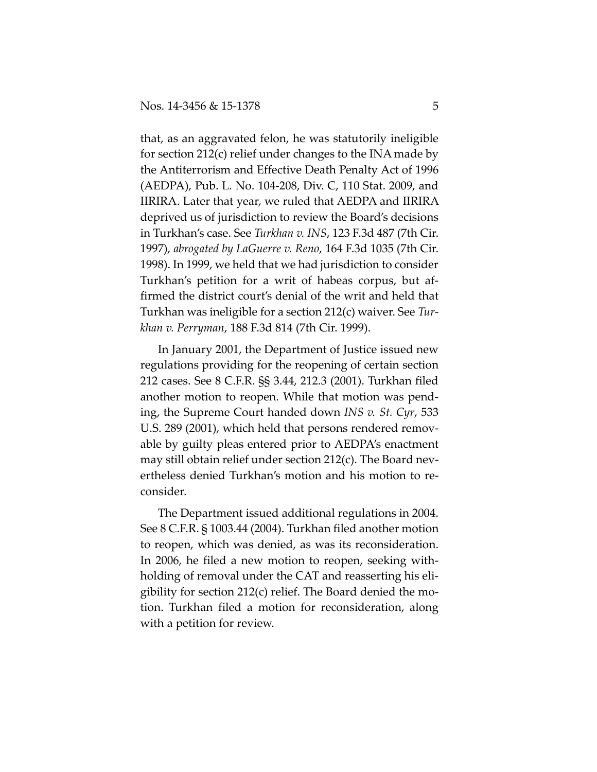that, as an aggravated felon, he was statutorily ineligible for section 212(c) relief under changes to the INA made by the Antiterrorism and Effective Death Penalty Act of 1996 (AEDPA), Pub. L. No. 104-208, Div. C, 110 Stat. 2009, and IIRIRA. Later that year, we ruled that AEDPA and IIRIRA deprived us of jurisdiction to review the Board's decisions in Turkhan's case. See *Turkhan v. INS*, 123 F.3d 487 (7th Cir. 1997), *abrogated by LaGuerre v. Reno*, 164 F.3d 1035 (7th Cir. 1998). In 1999, we held that we had jurisdiction to consider Turkhan's petition for a writ of habeas corpus, but affirmed the district court's denial of the writ and held that Turkhan was ineligible for a section 212(c) waiver. See *Turkhan v. Perryman*, 188 F.3d 814 (7th Cir. 1999).

In January 2001, the Department of Justice issued new regulations providing for the reopening of certain section 212 cases. See 8 C.F.R. §§ 3.44, 212.3 (2001). Turkhan filed another motion to reopen. While that motion was pending, the Supreme Court handed down *INS v. St. Cyr*, 533 U.S. 289 (2001), which held that persons rendered removable by guilty pleas entered prior to AEDPA's enactment may still obtain relief under section 212(c). The Board nevertheless denied Turkhan's motion and his motion to reconsider.

The Department issued additional regulations in 2004. See 8 C.F.R. § 1003.44 (2004). Turkhan filed another motion to reopen, which was denied, as was its reconsideration. In 2006, he filed a new motion to reopen, seeking withholding of removal under the CAT and reasserting his eligibility for section 212(c) relief. The Board denied the motion. Turkhan filed a motion for reconsideration, along with a petition for review.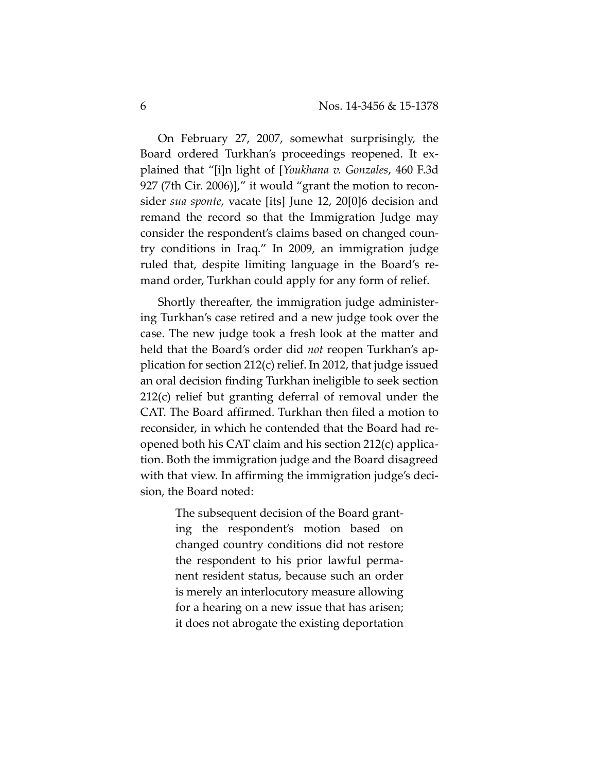On February 27, 2007, somewhat surprisingly, the Board ordered Turkhan's proceedings reopened. It explained that "[i]n light of [*Youkhana v. Gonzales*, 460 F.3d 927 (7th Cir. 2006)]," it would "grant the motion to reconsider *sua sponte*, vacate [its] June 12, 20[0]6 decision and remand the record so that the Immigration Judge may consider the respondent's claims based on changed country conditions in Iraq." In 2009, an immigration judge ruled that, despite limiting language in the Board's remand order, Turkhan could apply for any form of relief.

Shortly thereafter, the immigration judge administering Turkhan's case retired and a new judge took over the case. The new judge took a fresh look at the matter and held that the Board's order did *not* reopen Turkhan's application for section 212(c) relief. In 2012, that judge issued an oral decision finding Turkhan ineligible to seek section 212(c) relief but granting deferral of removal under the CAT. The Board affirmed. Turkhan then filed a motion to reconsider, in which he contended that the Board had reopened both his CAT claim and his section 212(c) application. Both the immigration judge and the Board disagreed with that view. In affirming the immigration judge's decision, the Board noted:

> The subsequent decision of the Board granting the respondent's motion based on changed country conditions did not restore the respondent to his prior lawful permanent resident status, because such an order is merely an interlocutory measure allowing for a hearing on a new issue that has arisen; it does not abrogate the existing deportation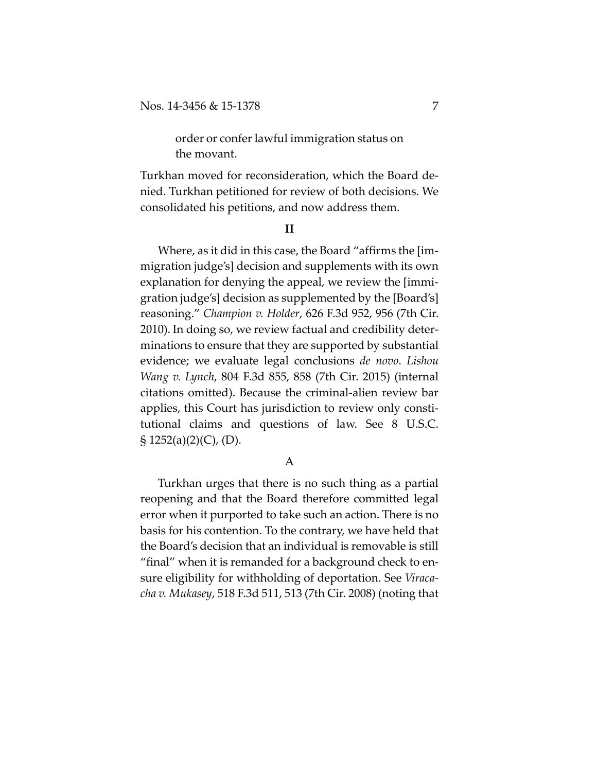order or confer lawful immigration status on the movant.

Turkhan moved for reconsideration, which the Board denied. Turkhan petitioned for review of both decisions. We consolidated his petitions, and now address them.

#### **II**

Where, as it did in this case, the Board "affirms the [immigration judge's] decision and supplements with its own explanation for denying the appeal, we review the [immigration judge's] decision as supplemented by the [Board's] reasoning." *Champion v. Holder*, 626 F.3d 952, 956 (7th Cir. 2010). In doing so, we review factual and credibility determinations to ensure that they are supported by substantial evidence; we evaluate legal conclusions *de novo*. *Lishou Wang v. Lynch*, 804 F.3d 855, 858 (7th Cir. 2015) (internal citations omitted). Because the criminal-alien review bar applies, this Court has jurisdiction to review only constitutional claims and questions of law. See 8 U.S.C.  $\S$  1252(a)(2)(C), (D).

### A

Turkhan urges that there is no such thing as a partial reopening and that the Board therefore committed legal error when it purported to take such an action. There is no basis for his contention. To the contrary, we have held that the Board's decision that an individual is removable is still "final" when it is remanded for a background check to ensure eligibility for withholding of deportation. See *Viracacha v. Mukasey*, 518 F.3d 511, 513 (7th Cir. 2008) (noting that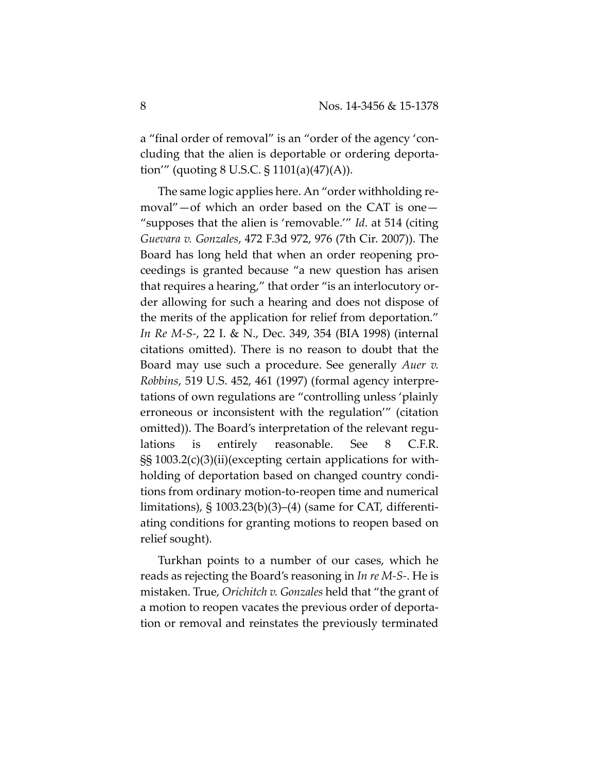a "final order of removal" is an "order of the agency 'concluding that the alien is deportable or ordering deportation'" (quoting 8 U.S.C. § 1101(a)(47)(A)).

The same logic applies here. An "order withholding removal"—of which an order based on the CAT is one— "supposes that the alien is 'removable.'" *Id*. at 514 (citing *Guevara v. Gonzales*, 472 F.3d 972, 976 (7th Cir. 2007)). The Board has long held that when an order reopening proceedings is granted because "a new question has arisen that requires a hearing," that order "is an interlocutory order allowing for such a hearing and does not dispose of the merits of the application for relief from deportation." *In Re M-S-*, 22 I. & N., Dec. 349, 354 (BIA 1998) (internal citations omitted). There is no reason to doubt that the Board may use such a procedure. See generally *Auer v. Robbins*, 519 U.S. 452, 461 (1997) (formal agency interpretations of own regulations are "controlling unless 'plainly erroneous or inconsistent with the regulation'" (citation omitted)). The Board's interpretation of the relevant regulations is entirely reasonable. See 8 C.F.R. §§ 1003.2(c)(3)(ii)(excepting certain applications for withholding of deportation based on changed country conditions from ordinary motion-to-reopen time and numerical limitations),  $\S$  1003.23(b)(3)–(4) (same for CAT, differentiating conditions for granting motions to reopen based on relief sought).

Turkhan points to a number of our cases, which he reads as rejecting the Board's reasoning in *In re M-S-*. He is mistaken. True, *Orichitch v. Gonzales* held that "the grant of a motion to reopen vacates the previous order of deportation or removal and reinstates the previously terminated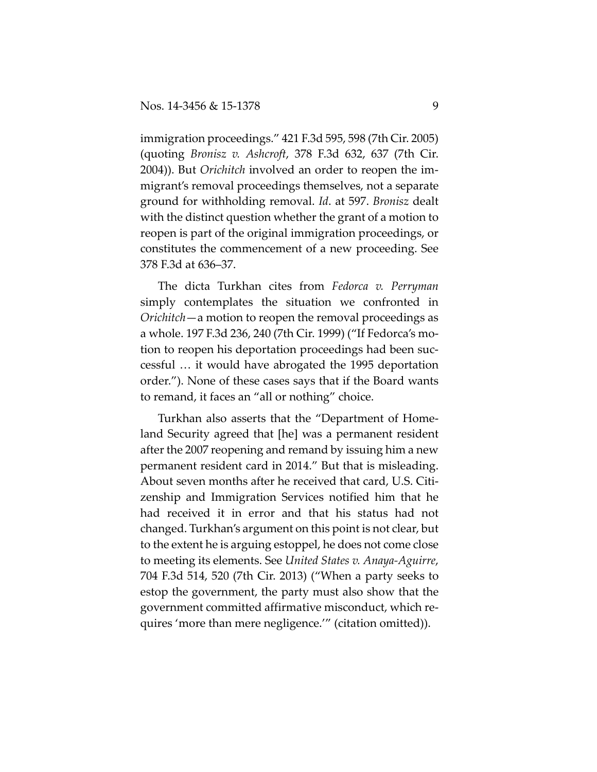immigration proceedings." 421 F.3d 595, 598 (7th Cir. 2005) (quoting *Bronisz v. Ashcroft*, 378 F.3d 632, 637 (7th Cir. 2004)). But *Orichitch* involved an order to reopen the immigrant's removal proceedings themselves, not a separate ground for withholding removal. *Id*. at 597. *Bronisz* dealt with the distinct question whether the grant of a motion to reopen is part of the original immigration proceedings, or constitutes the commencement of a new proceeding. See 378 F.3d at 636–37.

The dicta Turkhan cites from *Fedorca v. Perryman* simply contemplates the situation we confronted in *Orichitch*—a motion to reopen the removal proceedings as a whole. 197 F.3d 236, 240 (7th Cir. 1999) ("If Fedorca's motion to reopen his deportation proceedings had been successful … it would have abrogated the 1995 deportation order."). None of these cases says that if the Board wants to remand, it faces an "all or nothing" choice.

Turkhan also asserts that the "Department of Homeland Security agreed that [he] was a permanent resident after the 2007 reopening and remand by issuing him a new permanent resident card in 2014." But that is misleading. About seven months after he received that card, U.S. Citizenship and Immigration Services notified him that he had received it in error and that his status had not changed. Turkhan's argument on this point is not clear, but to the extent he is arguing estoppel, he does not come close to meeting its elements. See *United States v. Anaya-Aguirre*, 704 F.3d 514, 520 (7th Cir. 2013) ("When a party seeks to estop the government, the party must also show that the government committed affirmative misconduct, which requires 'more than mere negligence.'" (citation omitted)).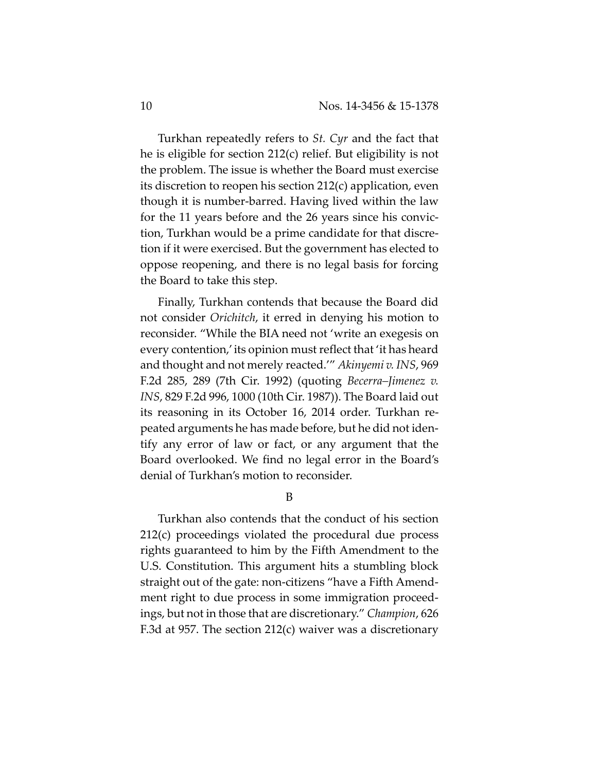Turkhan repeatedly refers to *St. Cyr* and the fact that he is eligible for section 212(c) relief. But eligibility is not the problem. The issue is whether the Board must exercise its discretion to reopen his section 212(c) application, even though it is number-barred. Having lived within the law for the 11 years before and the 26 years since his conviction, Turkhan would be a prime candidate for that discretion if it were exercised. But the government has elected to oppose reopening, and there is no legal basis for forcing the Board to take this step.

Finally, Turkhan contends that because the Board did not consider *Orichitch*, it erred in denying his motion to reconsider. "While the BIA need not 'write an exegesis on every contention,' its opinion must reflect that 'it has heard and thought and not merely reacted.'" *Akinyemi v. INS*, 969 F.2d 285, 289 (7th Cir. 1992) (quoting *Becerra–Jimenez v. INS*, 829 F.2d 996, 1000 (10th Cir. 1987)). The Board laid out its reasoning in its October 16, 2014 order. Turkhan repeated arguments he has made before, but he did not identify any error of law or fact, or any argument that the Board overlooked. We find no legal error in the Board's denial of Turkhan's motion to reconsider.

B

Turkhan also contends that the conduct of his section 212(c) proceedings violated the procedural due process rights guaranteed to him by the Fifth Amendment to the U.S. Constitution. This argument hits a stumbling block straight out of the gate: non-citizens "have a Fifth Amendment right to due process in some immigration proceedings, but not in those that are discretionary." *Champion*, 626 F.3d at 957. The section 212(c) waiver was a discretionary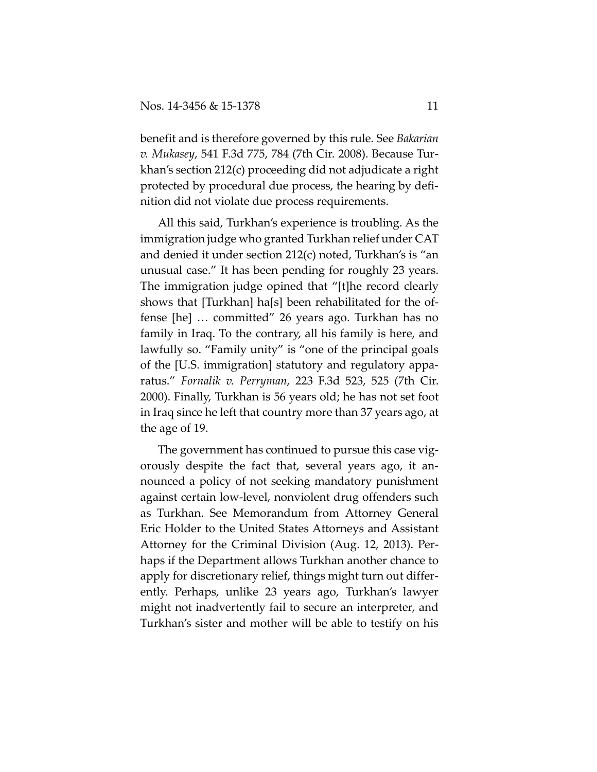benefit and is therefore governed by this rule. See *Bakarian v. Mukasey*, 541 F.3d 775, 784 (7th Cir. 2008). Because Turkhan's section 212(c) proceeding did not adjudicate a right protected by procedural due process, the hearing by definition did not violate due process requirements.

All this said, Turkhan's experience is troubling. As the immigration judge who granted Turkhan relief under CAT and denied it under section 212(c) noted, Turkhan's is "an unusual case." It has been pending for roughly 23 years. The immigration judge opined that "[t]he record clearly shows that [Turkhan] ha[s] been rehabilitated for the offense [he] … committed" 26 years ago. Turkhan has no family in Iraq. To the contrary, all his family is here, and lawfully so. "Family unity" is "one of the principal goals of the [U.S. immigration] statutory and regulatory apparatus." *Fornalik v. Perryman*, 223 F.3d 523, 525 (7th Cir. 2000). Finally, Turkhan is 56 years old; he has not set foot in Iraq since he left that country more than 37 years ago, at the age of 19.

The government has continued to pursue this case vigorously despite the fact that, several years ago, it announced a policy of not seeking mandatory punishment against certain low-level, nonviolent drug offenders such as Turkhan. See Memorandum from Attorney General Eric Holder to the United States Attorneys and Assistant Attorney for the Criminal Division (Aug. 12, 2013). Perhaps if the Department allows Turkhan another chance to apply for discretionary relief, things might turn out differently. Perhaps, unlike 23 years ago, Turkhan's lawyer might not inadvertently fail to secure an interpreter, and Turkhan's sister and mother will be able to testify on his